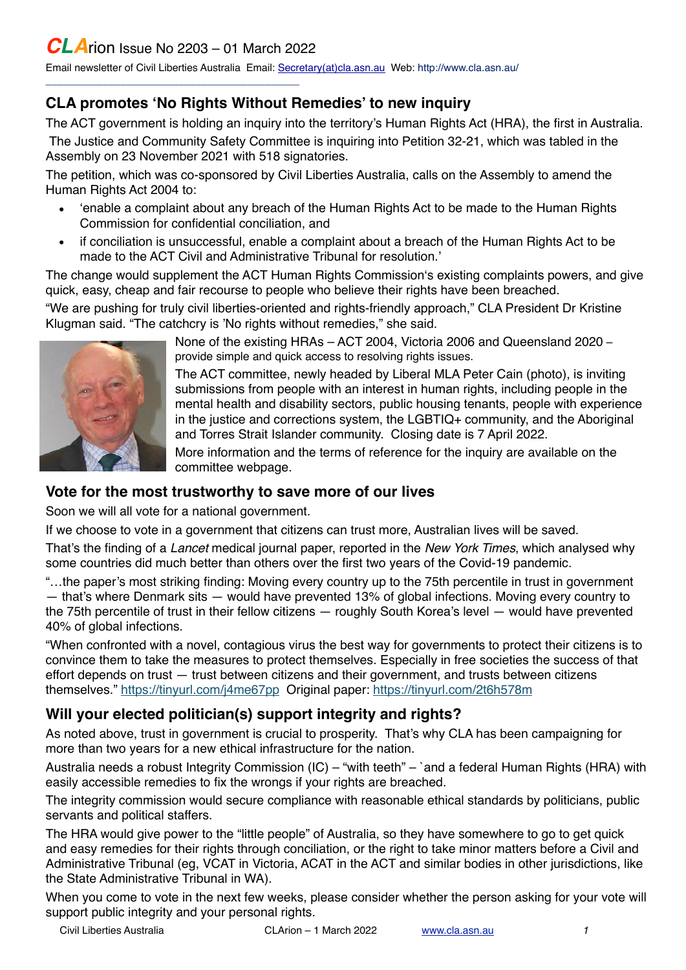\_\_\_\_\_\_\_\_\_\_\_\_\_\_\_\_\_\_\_\_\_\_\_\_\_\_\_\_\_\_\_\_\_\_\_\_\_\_\_\_\_\_\_\_

Email newsletter of Civil Liberties Australia Email: [Secretary\(at\)cla.asn.au](mailto:secretary@cla.asn.au?subject=email%20subject) Web: [http://www.cla.asn.au/](http://www.cla.asn.au)

## **CLA promotes 'No Rights Without Remedies' to new inquiry**

The ACT government is holding an inquiry into the territory's Human Rights Act (HRA), the first in Australia. The Justice and Community Safety Committee is inquiring into Petition 32-21, which was tabled in the Assembly on 23 November 2021 with 518 signatories.

The petition, which was co-sponsored by Civil Liberties Australia, calls on the Assembly to amend the Human Rights Act 2004 to:

- 'enable a complaint about any breach of the Human Rights Act to be made to the Human Rights Commission for confidential conciliation, and
- if conciliation is unsuccessful, enable a complaint about a breach of the Human Rights Act to be made to the ACT Civil and Administrative Tribunal for resolution.'

The change would supplement the ACT Human Rights Commission's existing complaints powers, and give quick, easy, cheap and fair recourse to people who believe their rights have been breached.

"We are pushing for truly civil liberties-oriented and rights-friendly approach," CLA President Dr Kristine Klugman said. "The catchcry is 'No rights without remedies," she said.



None of the existing HRAs – ACT 2004, Victoria 2006 and Queensland 2020 – provide simple and quick access to resolving rights issues.

The ACT committee, newly headed by Liberal MLA Peter Cain (photo), is inviting submissions from people with an interest in human rights, including people in the mental health and disability sectors, public housing tenants, people with experience in the justice and corrections system, the LGBTIQ+ community, and the Aboriginal and Torres Strait Islander community. Closing date is 7 April 2022.

More information and the terms of reference for the inquiry are available on the committee webpage.

#### **Vote for the most trustworthy to save more of our lives**

Soon we will all vote for a national government.

If we choose to vote in a government that citizens can trust more, Australian lives will be saved.

That's the finding of a *Lancet* medical journal paper, reported in the *New York Times*, which analysed why some countries did much better than others over the first two years of the Covid-19 pandemic.

"…the paper's most striking finding: Moving every country up to the 75th percentile in trust in government

— that's where Denmark sits — would have prevented 13% of global infections. Moving every country to the 75th percentile of trust in their fellow citizens — roughly South Korea's level — would have prevented 40% of global infections.

"When confronted with a novel, contagious virus the best way for governments to protect their citizens is to convince them to take the measures to protect themselves. Especially in free societies the success of that effort depends on trust — trust between citizens and their government, and trusts between citizens themselves."<https://tinyurl.com/j4me67pp>Original paper: <https://tinyurl.com/2t6h578m>

# **Will your elected politician(s) support integrity and rights?**

As noted above, trust in government is crucial to prosperity. That's why CLA has been campaigning for more than two years for a new ethical infrastructure for the nation.

Australia needs a robust Integrity Commission (IC) – "with teeth" – `and a federal Human Rights (HRA) with easily accessible remedies to fix the wrongs if your rights are breached.

The integrity commission would secure compliance with reasonable ethical standards by politicians, public servants and political staffers.

The HRA would give power to the "little people" of Australia, so they have somewhere to go to get quick and easy remedies for their rights through conciliation, or the right to take minor matters before a Civil and Administrative Tribunal (eg, VCAT in Victoria, ACAT in the ACT and similar bodies in other jurisdictions, like the State Administrative Tribunal in WA).

When you come to vote in the next few weeks, please consider whether the person asking for your vote will support public integrity and your personal rights.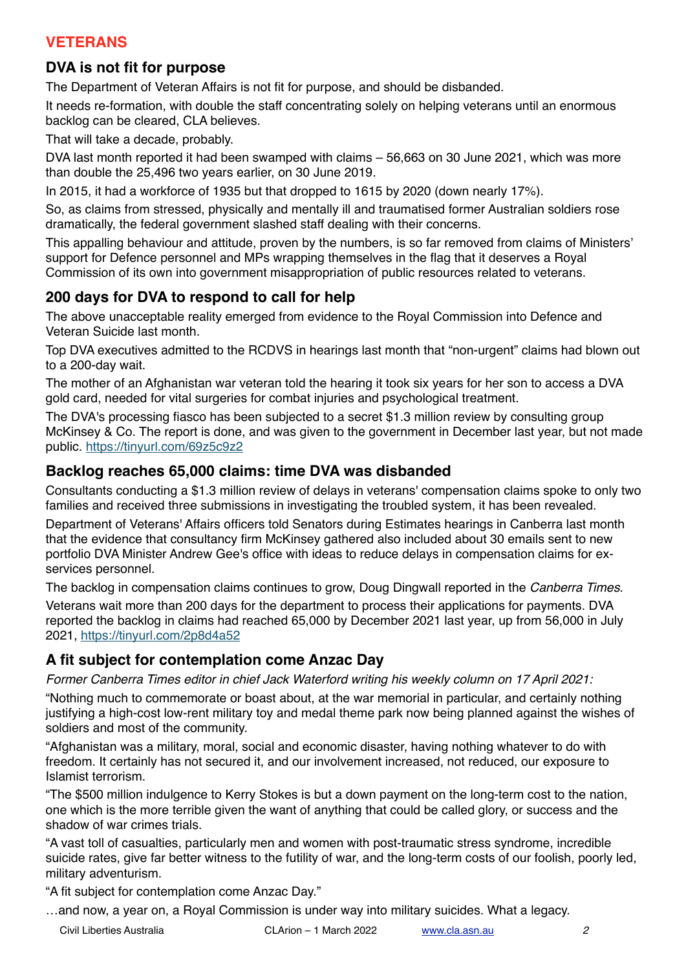## **VETERANS**

## **DVA is not fit for purpose**

The Department of Veteran Affairs is not fit for purpose, and should be disbanded.

It needs re-formation, with double the staff concentrating solely on helping veterans until an enormous backlog can be cleared, CLA believes.

That will take a decade, probably.

DVA last month reported it had been swamped with claims – 56,663 on 30 June 2021, which was more than double the 25,496 two years earlier, on 30 June 2019.

In 2015, it had a workforce of 1935 but that dropped to 1615 by 2020 (down nearly 17%).

So, as claims from stressed, physically and mentally ill and traumatised former Australian soldiers rose dramatically, the federal government slashed staff dealing with their concerns.

This appalling behaviour and attitude, proven by the numbers, is so far removed from claims of Ministers' support for Defence personnel and MPs wrapping themselves in the flag that it deserves a Royal Commission of its own into government misappropriation of public resources related to veterans.

## **200 days for DVA to respond to call for help**

The above unacceptable reality emerged from evidence to the Royal Commission into Defence and Veteran Suicide last month.

Top DVA executives admitted to the RCDVS in hearings last month that "non-urgent" claims had blown out to a 200-day wait.

The mother of an Afghanistan war veteran told the hearing it took six years for her son to access a DVA gold card, needed for vital surgeries for combat injuries and psychological treatment.

The DVA's processing fiasco has been subjected to a secret \$1.3 million review by consulting group McKinsey & Co. The report is done, and was given to the government in December last year, but not made public. <https://tinyurl.com/69z5c9z2>

### **Backlog reaches 65,000 claims: time DVA was disbanded**

Consultants conducting a \$1.3 million review of delays in veterans' compensation claims spoke to only two families and received three submissions in investigating the troubled system, it has been revealed.

Department of Veterans' Affairs officers told Senators during Estimates hearings in Canberra last month that the evidence that consultancy firm McKinsey gathered also included about 30 emails sent to new portfolio DVA Minister Andrew Gee's office with ideas to reduce delays in compensation claims for exservices personnel.

The backlog in compensation claims continues to grow, Doug Dingwall reported in the *Canberra Times*. Veterans wait more than 200 days for the department to process their applications for payments. DVA reported the backlog in claims had reached 65,000 by December 2021 last year, up from 56,000 in July 2021,<https://tinyurl.com/2p8d4a52>

## **A fit subject for contemplation come Anzac Day**

*Former Canberra Times editor in chief Jack Waterford writing his weekly column on 17 April 2021:*

"Nothing much to commemorate or boast about, at the war memorial in particular, and certainly nothing justifying a high-cost low-rent military toy and medal theme park now being planned against the wishes of soldiers and most of the community.

"Afghanistan was a military, moral, social and economic disaster, having nothing whatever to do with freedom. It certainly has not secured it, and our involvement increased, not reduced, our exposure to Islamist terrorism.

"The \$500 million indulgence to Kerry Stokes is but a down payment on the long-term cost to the nation, one which is the more terrible given the want of anything that could be called glory, or success and the shadow of war crimes trials.

"A vast toll of casualties, particularly men and women with post-traumatic stress syndrome, incredible suicide rates, give far better witness to the futility of war, and the long-term costs of our foolish, poorly led, military adventurism.

"A fit subject for contemplation come Anzac Day."

…and now, a year on, a Royal Commission is under way into military suicides. What a legacy.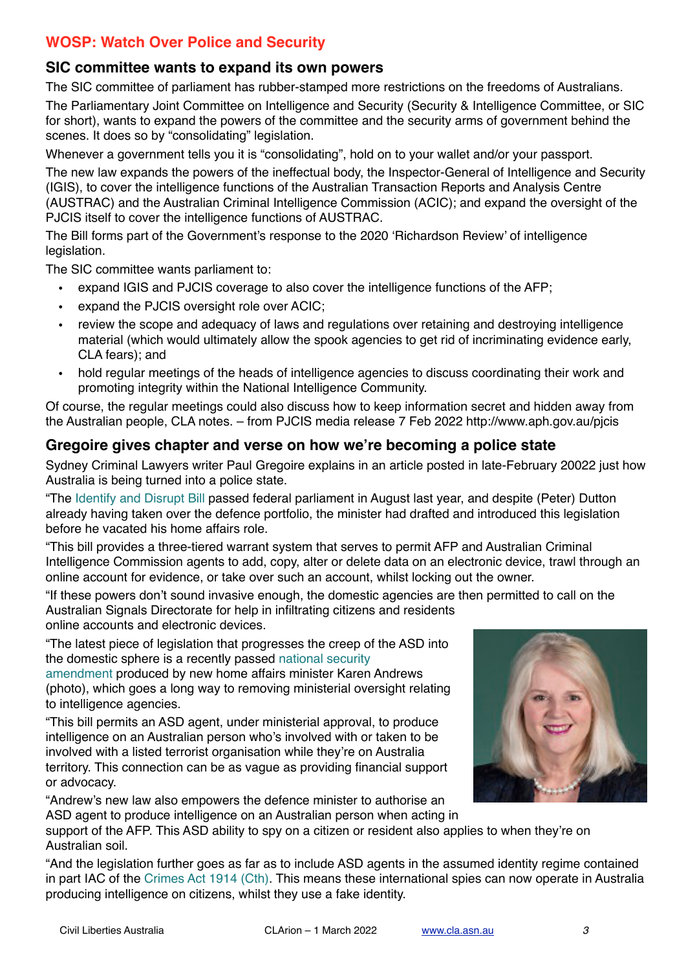## **WOSP: Watch Over Police and Security**

#### **SIC committee wants to expand its own powers**

The SIC committee of parliament has rubber-stamped more restrictions on the freedoms of Australians.

The Parliamentary Joint Committee on Intelligence and Security (Security & Intelligence Committee, or SIC for short), wants to expand the powers of the committee and the security arms of government behind the scenes. It does so by "consolidating" legislation.

Whenever a government tells you it is "consolidating", hold on to your wallet and/or your passport.

The new law expands the powers of the ineffectual body, the Inspector-General of Intelligence and Security (IGIS), to cover the intelligence functions of the Australian Transaction Reports and Analysis Centre (AUSTRAC) and the Australian Criminal Intelligence Commission (ACIC); and expand the oversight of the PJCIS itself to cover the intelligence functions of AUSTRAC.

The Bill forms part of the Government's response to the 2020 '[Richardson Review'](https://www.ag.gov.au/national-security/publications/report-comprehensive-review-legal-framework-national-intelligence-community) of intelligence legislation.

The SIC committee wants parliament to:

- expand IGIS and PJCIS coverage to also cover the intelligence functions of the AFP;
- expand the PJCIS oversight role over ACIC;
- review the scope and adequacy of laws and regulations over retaining and destroying intelligence material (which would ultimately allow the spook agencies to get rid of incriminating evidence early, CLA fears); and
- hold regular meetings of the heads of intelligence agencies to discuss coordinating their work and promoting integrity within the National Intelligence Community.

Of course, the regular meetings could also discuss how to keep information secret and hidden away from the Australian people, CLA notes. – from PJCIS media release 7 Feb 2022 <http://www.aph.gov.au/pjcis>

#### **Gregoire gives chapter and verse on how we're becoming a police state**

Sydney Criminal Lawyers writer Paul Gregoire explains in an article posted in late-February 20022 just how Australia is being turned into a police state.

"The [Identify and Disrupt Bill](https://www.aph.gov.au/Parliamentary_Business/Bills_Legislation/Bills_Search_Results/Result?bId=r6623) passed federal parliament in August last year, and despite (Peter) Dutton already having taken over the defence portfolio, the minister had drafted and introduced this legislation before he vacated his home affairs role.

"This bill provides a three-tiered warrant system that serves to permit AFP and Australian Criminal Intelligence Commission agents to add, copy, alter or delete data on an electronic device, trawl through an online account for evidence, or take over such an account, whilst locking out the owner.

"If these powers don't sound invasive enough, the domestic agencies are then permitted to call on the Australian Signals Directorate for help in infiltrating citizens and residents online accounts and electronic devices.

"The latest piece of legislation that progresses the creep of the ASD into the domestic sphere is a recently passed [national security](https://www.aph.gov.au/Parliamentary_Business/Bills_Legislation/Bills_Search_Results/Result?bId=r6762) 

[amendment](https://www.aph.gov.au/Parliamentary_Business/Bills_Legislation/Bills_Search_Results/Result?bId=r6762) produced by new home affairs minister Karen Andrews (photo), which goes a long way to removing ministerial oversight relating to intelligence agencies.

"This bill permits an ASD agent, under ministerial approval, to produce intelligence on an Australian person who's involved with or taken to be involved with a listed terrorist organisation while they're on Australia territory. This connection can be as vague as providing financial support or advocacy.

"Andrew's new law also empowers the defence minister to authorise an ASD agent to produce intelligence on an Australian person when acting in

support of the AFP. This ASD ability to spy on a citizen or resident also applies to when they're on Australian soil.

"And the legislation further goes as far as to include ASD agents in the assumed identity regime contained in part IAC of the [Crimes Act 1914 \(Cth\).](http://classic.austlii.edu.au/au/legis/cth/consol_act/ca191482/) This means these international spies can now operate in Australia producing intelligence on citizens, whilst they use a fake identity.

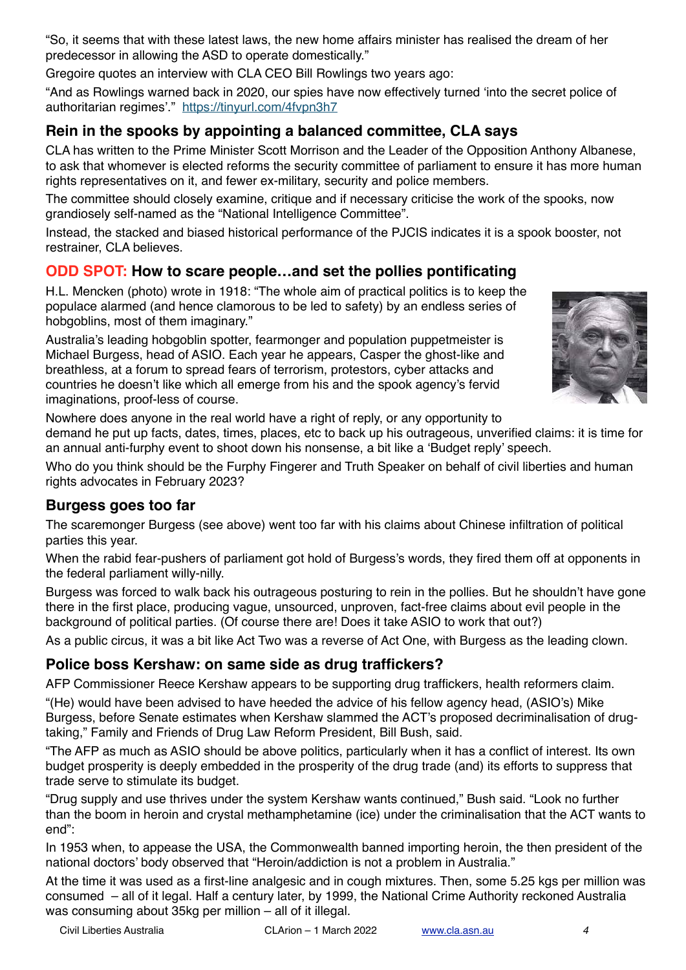"So, it seems that with these latest laws, the new home affairs minister has realised the dream of her predecessor in allowing the ASD to operate domestically."

Gregoire quotes an interview with CLA CEO Bill Rowlings two years ago:

"And as Rowlings warned back in 2020, our spies have now effectively turned 'into the secret police of authoritarian regimes'." <https://tinyurl.com/4fvpn3h7>

## **Rein in the spooks by appointing a balanced committee, CLA says**

CLA has written to the Prime Minister Scott Morrison and the Leader of the Opposition Anthony Albanese, to ask that whomever is elected reforms the security committee of parliament to ensure it has more human rights representatives on it, and fewer ex-military, security and police members.

The committee should closely examine, critique and if necessary criticise the work of the spooks, now grandiosely self-named as the "National Intelligence Committee".

Instead, the stacked and biased historical performance of the PJCIS indicates it is a spook booster, not restrainer, CLA believes.

### **ODD SPOT: How to scare people…and set the pollies pontificating**

H.L. Mencken (photo) wrote in 1918: "The whole aim of practical politics is to keep the populace alarmed (and hence clamorous to be led to safety) by an endless series of hobgoblins, most of them imaginary."

Australia's leading hobgoblin spotter, fearmonger and population puppetmeister is Michael Burgess, head of ASIO. Each year he appears, Casper the ghost-like and breathless, at a forum to spread fears of terrorism, protestors, cyber attacks and countries he doesn't like which all emerge from his and the spook agency's fervid imaginations, proof-less of course.



Nowhere does anyone in the real world have a right of reply, or any opportunity to demand he put up facts, dates, times, places, etc to back up his outrageous, unverified claims: it is time for an annual anti-furphy event to shoot down his nonsense, a bit like a 'Budget reply' speech.

Who do you think should be the Furphy Fingerer and Truth Speaker on behalf of civil liberties and human rights advocates in February 2023?

## **Burgess goes too far**

The scaremonger Burgess (see above) went too far with his claims about Chinese infiltration of political parties this year.

When the rabid fear-pushers of parliament got hold of Burgess's words, they fired them off at opponents in the federal parliament willy-nilly.

Burgess was forced to walk back his outrageous posturing to rein in the pollies. But he shouldn't have gone there in the first place, producing vague, unsourced, unproven, fact-free claims about evil people in the background of political parties. (Of course there are! Does it take ASIO to work that out?)

As a public circus, it was a bit like Act Two was a reverse of Act One, with Burgess as the leading clown.

#### **Police boss Kershaw: on same side as drug traffickers?**

AFP Commissioner Reece Kershaw appears to be supporting drug traffickers, health reformers claim.

"(He) would have been advised to have heeded the advice of his fellow agency head, (ASIO's) Mike Burgess, before Senate estimates when Kershaw slammed the ACT's proposed decriminalisation of drugtaking," Family and Friends of Drug Law Reform President, Bill Bush, said.

"The AFP as much as ASIO should be above politics, particularly when it has a conflict of interest. Its own budget prosperity is deeply embedded in the prosperity of the drug trade (and) its efforts to suppress that trade serve to stimulate its budget.

"Drug supply and use thrives under the system Kershaw wants continued," Bush said. "Look no further than the boom in heroin and crystal methamphetamine (ice) under the criminalisation that the ACT wants to end":

In 1953 when, to appease the USA, the Commonwealth banned importing heroin, the then president of the national doctors' body observed that "Heroin/addiction is not a problem in Australia."

At the time it was used as a first-line analgesic and in cough mixtures. Then, some 5.25 kgs per million was consumed – all of it legal. Half a century later, by 1999, the National Crime Authority reckoned Australia was consuming about 35kg per million – all of it illegal.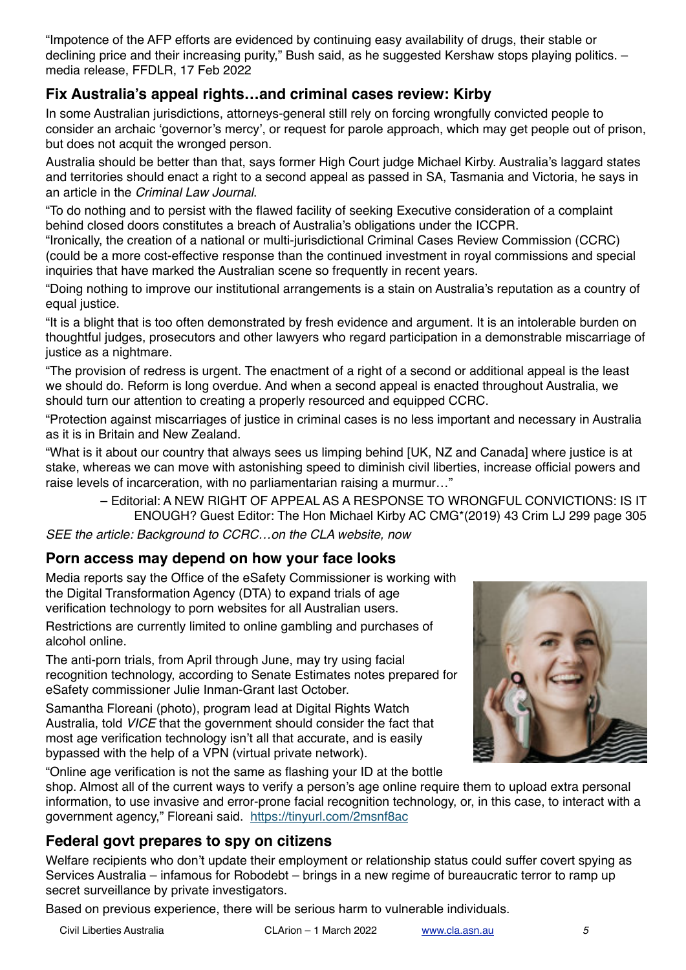"Impotence of the AFP efforts are evidenced by continuing easy availability of drugs, their stable or declining price and their increasing purity," Bush said, as he suggested Kershaw stops playing politics. – media release, FFDLR, 17 Feb 2022

# **Fix Australia's appeal rights…and criminal cases review: Kirby**

In some Australian jurisdictions, attorneys-general still rely on forcing wrongfully convicted people to consider an archaic 'governor's mercy', or request for parole approach, which may get people out of prison, but does not acquit the wronged person.

Australia should be better than that, says former High Court judge Michael Kirby. Australia's laggard states and territories should enact a right to a second appeal as passed in SA, Tasmania and Victoria, he says in an article in the *Criminal Law Journal*.

"To do nothing and to persist with the flawed facility of seeking Executive consideration of a complaint behind closed doors constitutes a breach of Australia's obligations under the ICCPR.

"Ironically, the creation of a national or multi-jurisdictional Criminal Cases Review Commission (CCRC) (could be a more cost-effective response than the continued investment in royal commissions and special inquiries that have marked the Australian scene so frequently in recent years.

"Doing nothing to improve our institutional arrangements is a stain on Australia's reputation as a country of equal justice.

"It is a blight that is too often demonstrated by fresh evidence and argument. It is an intolerable burden on thoughtful judges, prosecutors and other lawyers who regard participation in a demonstrable miscarriage of justice as a nightmare.

"The provision of redress is urgent. The enactment of a right of a second or additional appeal is the least we should do. Reform is long overdue. And when a second appeal is enacted throughout Australia, we should turn our attention to creating a properly resourced and equipped CCRC.

"Protection against miscarriages of justice in criminal cases is no less important and necessary in Australia as it is in Britain and New Zealand.

"What is it about our country that always sees us limping behind [UK, NZ and Canada] where justice is at stake, whereas we can move with astonishing speed to diminish civil liberties, increase official powers and raise levels of incarceration, with no parliamentarian raising a murmur…"

– Editorial: A NEW RIGHT OF APPEAL AS A RESPONSE TO WRONGFUL CONVICTIONS: IS IT ENOUGH? Guest Editor: The Hon Michael Kirby AC CMG\*(2019) 43 Crim LJ 299 page 305

*SEE the article: Background to CCRC…on the CLA website, now*

## **Porn access may depend on how your face looks**

Media reports say the Office of the eSafety Commissioner is working with the Digital Transformation Agency (DTA) to expand trials of age verification technology to porn websites for all Australian users.

Restrictions are currently limited to online gambling and purchases of alcohol online.

The anti-porn trials, from April through June, may try using facial recognition technology, according to Senate Estimates notes prepared for eSafety commissioner Julie Inman-Grant last October.

Samantha Floreani (photo), program lead at Digital Rights Watch Australia, told *VICE* that the government should consider the fact that most age verification technology isn't all that accurate, and is easily bypassed with the help of a VPN (virtual private network).



"Online age verification is not the same as flashing your ID at the bottle

shop. Almost all of the current ways to verify a person's age online require them to upload extra personal information, to use invasive and error-prone facial recognition technology, or, in this case, to interact with a government agency," Floreani said. <https://tinyurl.com/2msnf8ac>

## **Federal govt prepares to spy on citizens**

Welfare recipients who don't update their employment or relationship status could suffer covert spying as Services Australia – infamous for Robodebt – brings in a new regime of bureaucratic terror to ramp up secret surveillance by private investigators.

Based on previous experience, there will be serious harm to vulnerable individuals.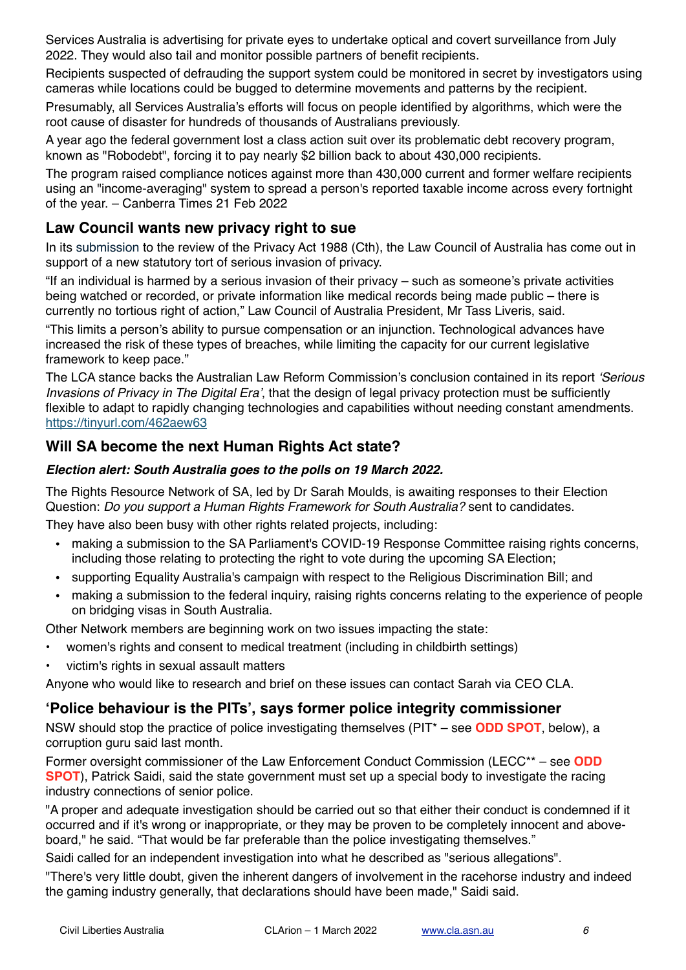Services Australia is advertising for private eyes to undertake optical and covert surveillance from July 2022. They would also tail and monitor possible partners of benefit recipients.

Recipients suspected of defrauding the support system could be monitored in secret by investigators using cameras while locations could be bugged to determine movements and patterns by the recipient.

Presumably, all Services Australia's efforts will focus on people identified by algorithms, which were the root cause of disaster for hundreds of thousands of Australians previously.

A year ago the federal government lost a class action suit over its problematic debt recovery program, known as "Robodebt", forcing it to pay nearly \$2 billion back to about 430,000 recipients.

The program raised compliance notices against more than 430,000 current and former welfare recipients using an "income-averaging" system to spread a person's reported taxable income across every fortnight of the year. – Canberra Times 21 Feb 2022

### **Law Council wants new privacy right to sue**

In its submission to the review of the Privacy Act 1988 (Cth), the Law Council of Australia has come out in support of a new statutory tort of serious invasion of privacy.

"If an individual is harmed by a serious invasion of their privacy – such as someone's private activities being watched or recorded, or private information like medical records being made public – there is currently no tortious right of action," Law Council of Australia President, Mr Tass Liveris, said.

"This limits a person's ability to pursue compensation or an injunction. Technological advances have increased the risk of these types of breaches, while limiting the capacity for our current legislative framework to keep pace."

The LCA stance backs the Australian Law Reform Commission's conclusion contained in its report *'Serious Invasions of Privacy in The Digital Era'*, that the design of legal privacy protection must be sufficiently flexible to adapt to rapidly changing technologies and capabilities without needing constant amendments. <https://tinyurl.com/462aew63>

### **Will SA become the next Human Rights Act state?**

#### *Election alert: South Australia goes to the polls on 19 March 2022.*

The Rights Resource Network of SA, led by Dr Sarah Moulds, is awaiting responses to their Election Question: *Do you support a Human Rights Framework for South Australia?* sent to candidates. They have also been busy with other rights related projects, including:

- making a submission to the SA Parliament's COVID-19 Response Committee raising rights concerns, including those relating to protecting the right to vote during the upcoming SA Election;
- supporting Equality Australia's campaign with respect to the Religious Discrimination Bill; and
- making a submission to the federal inquiry, raising rights concerns relating to the experience of people on bridging visas in South Australia.

Other Network members are beginning work on two issues impacting the state:

- women's rights and consent to medical treatment (including in childbirth settings)
- victim's rights in sexual assault matters

Anyone who would like to research and brief on these issues can contact Sarah via CEO CLA.

#### **'Police behaviour is the PITs', says former police integrity commissioner**

NSW should stop the practice of police investigating themselves (PIT\* – see **ODD SPOT**, below), a corruption guru said last month.

Former oversight commissioner of the Law Enforcement Conduct Commission (LECC\*\* – see **ODD SPOT**), Patrick Saidi, said the state government must set up a special body to investigate the racing industry connections of senior police.

"A proper and adequate investigation should be carried out so that either their conduct is condemned if it occurred and if it's wrong or inappropriate, or they may be proven to be completely innocent and aboveboard," he said. "That would be far preferable than the police investigating themselves."

Saidi called for an independent investigation into what he described as "serious allegations".

"There's very little doubt, given the inherent dangers of involvement in the racehorse industry and indeed the gaming industry generally, that declarations should have been made," Saidi said.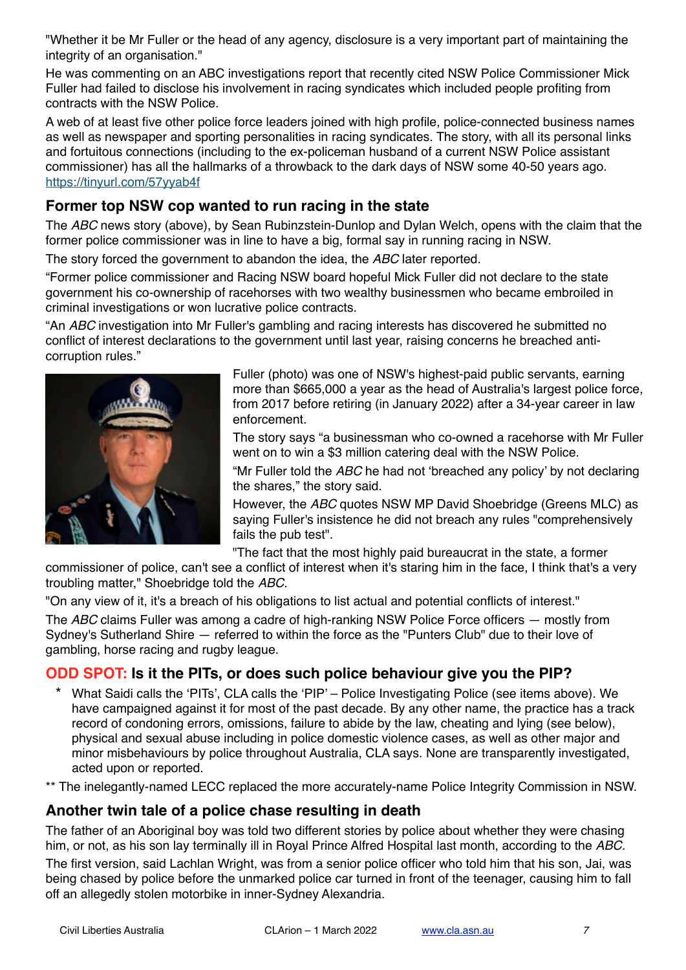"Whether it be Mr Fuller or the head of any agency, disclosure is a very important part of maintaining the integrity of an organisation."

He was commenting on an ABC investigations report that recently cited NSW Police Commissioner Mick Fuller had failed to disclose his involvement in racing syndicates which included people profiting from contracts with the NSW Police.

A web of at least five other police force leaders joined with high profile, police-connected business names as well as newspaper and sporting personalities in racing syndicates. The story, with all its personal links and fortuitous connections (including to the ex-policeman husband of a current NSW Police assistant commissioner) has all the hallmarks of a throwback to the dark days of NSW some 40-50 years ago. <https://tinyurl.com/57yyab4f>

## **Former top NSW cop wanted to run racing in the state**

The *ABC* news story (above), by Sean Rubinzstein-Dunlop and Dylan Welch, opens with the claim that the former police commissioner was in line to have a big, formal say in running racing in NSW.

The story forced the government to abandon the idea, the *ABC* later reported.

"Former police commissioner and Racing NSW board hopeful Mick Fuller did not declare to the state government his co-ownership of racehorses with two wealthy businessmen who became embroiled in criminal investigations or won lucrative police contracts.

"An *ABC* investigation into Mr Fuller's gambling and racing interests has discovered he submitted no conflict of interest declarations to the government until last year, raising concerns he breached anticorruption rules."



Fuller (photo) was one of NSW's highest-paid public servants, earning more than \$665,000 a year as the head of Australia's largest police force, from 2017 before retiring (in January 2022) after a 34-year career in law enforcement.

The story says "a businessman who co-owned a racehorse with Mr Fuller went on to win a \$3 million catering deal with the NSW Police.

"Mr Fuller told the *ABC* he had not 'breached any policy' by not declaring the shares," the story said.

However, the *ABC* quotes NSW MP David Shoebridge (Greens MLC) as saying Fuller's insistence he did not breach any rules "comprehensively fails the pub test".

"The fact that the most highly paid bureaucrat in the state, a former

commissioner of police, can't see a conflict of interest when it's staring him in the face, I think that's a very troubling matter," Shoebridge told the *ABC*.

"On any view of it, it's a breach of his obligations to list actual and potential conflicts of interest."

The *ABC* claims Fuller was among a cadre of high-ranking NSW Police Force officers — mostly from Sydney's Sutherland Shire — referred to within the force as the "Punters Club" due to their love of gambling, horse racing and rugby league.

# **ODD SPOT: Is it the PITs, or does such police behaviour give you the PIP?**

- \* What Saidi calls the 'PITs', CLA calls the 'PIP' Police Investigating Police (see items above). We have campaigned against it for most of the past decade. By any other name, the practice has a track record of condoning errors, omissions, failure to abide by the law, cheating and lying (see below), physical and sexual abuse including in police domestic violence cases, as well as other major and minor misbehaviours by police throughout Australia, CLA says. None are transparently investigated, acted upon or reported.
- \*\* The inelegantly-named LECC replaced the more accurately-name Police Integrity Commission in NSW.

## **Another twin tale of a police chase resulting in death**

The father of an Aboriginal boy was told two different stories by police about whether they were chasing him, or not, as his son lay terminally ill in Royal Prince Alfred Hospital last month, according to the *ABC.*

The first version, said Lachlan Wright, was from a senior police officer who told him that his son, Jai, was being chased by police before the unmarked police car turned in front of the teenager, causing him to fall off an allegedly stolen motorbike in inner-Sydney Alexandria.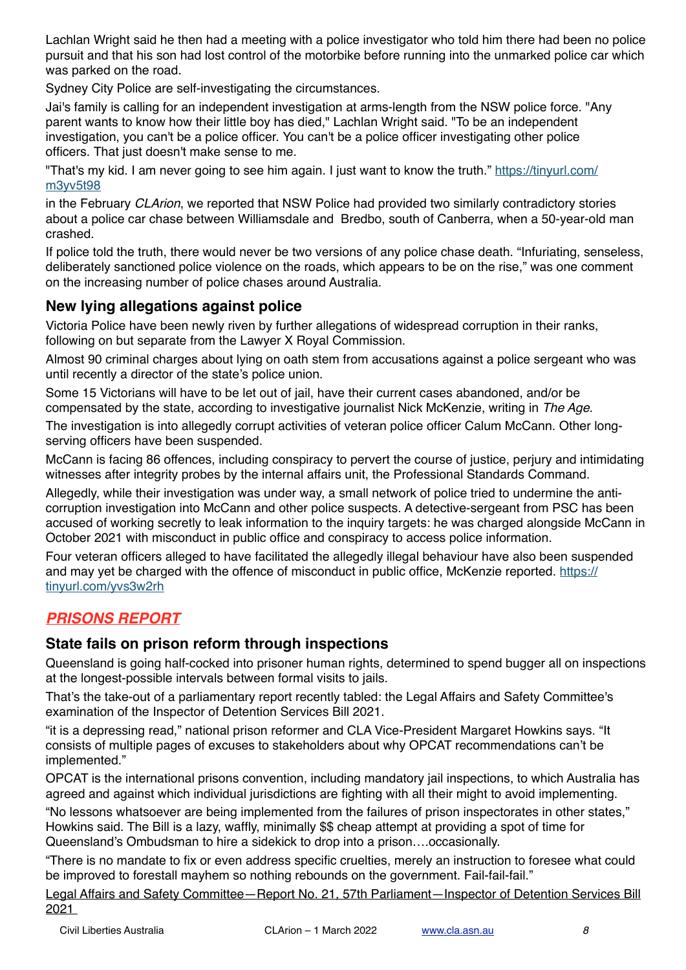Lachlan Wright said he then had a meeting with a police investigator who told him there had been no police pursuit and that his son had lost control of the motorbike before running into the unmarked police car which was parked on the road.

Sydney City Police are self-investigating the circumstances.

Jai's family is calling for an independent investigation at arms-length from the NSW police force. "Any parent wants to know how their little boy has died," Lachlan Wright said. "To be an independent investigation, you can't be a police officer. You can't be a police officer investigating other police officers. That just doesn't make sense to me.

"That's my kid. I am never going to see him again. I just want to know the truth." [https://tinyurl.com/](https://tinyurl.com/m3yv5t98) [m3yv5t98](https://tinyurl.com/m3yv5t98)

in the February *CLArion*, we reported that NSW Police had provided two similarly contradictory stories about a police car chase between Williamsdale and Bredbo, south of Canberra, when a 50-year-old man crashed.

If police told the truth, there would never be two versions of any police chase death. "Infuriating, senseless, deliberately sanctioned police violence on the roads, which appears to be on the rise," was one comment on the increasing number of police chases around Australia.

### **New lying allegations against police**

Victoria Police have been newly riven by further allegations of widespread corruption in their ranks, following on but separate from the Lawyer X Royal Commission.

Almost 90 criminal charges about lying on oath stem from accusations against a police sergeant who was until recently a director of the state's police union.

Some 15 Victorians will have to be let out of jail, have their current cases abandoned, and/or be compensated by the state, according to investigative journalist Nick McKenzie, writing in *The Age*.

The investigation is into allegedly corrupt activities of veteran police officer Calum McCann. Other longserving officers have been suspended.

McCann is facing 86 offences, including conspiracy to pervert the course of justice, perjury and intimidating witnesses after integrity probes by the internal affairs unit, the Professional Standards Command.

Allegedly, while their investigation was under way, a small network of police tried to undermine the anticorruption investigation into McCann and other police suspects. A detective-sergeant from PSC has been accused of working secretly to leak information to the inquiry targets: he was charged alongside McCann in October 2021 with misconduct in public office and conspiracy to access police information.

Four veteran officers alleged to have facilitated the allegedly illegal behaviour have also been suspended and may yet be charged with the offence of misconduct in public office, McKenzie reported. [https://](https://tinyurl.com/yvs3w2rh) [tinyurl.com/yvs3w2rh](https://tinyurl.com/yvs3w2rh)

# *PRISONS REPORT*

## **State fails on prison reform through inspections**

Queensland is going half-cocked into prisoner human rights, determined to spend bugger all on inspections at the longest-possible intervals between formal visits to jails.

That's the take-out of a parliamentary report recently tabled: the Legal Affairs and Safety Committee's examination of the Inspector of Detention Services Bill 2021.

"it is a depressing read," national prison reformer and CLA Vice-President Margaret Howkins says. "It consists of multiple pages of excuses to stakeholders about why OPCAT recommendations can't be implemented."

OPCAT is the international prisons convention, including mandatory jail inspections, to which Australia has agreed and against which individual jurisdictions are fighting with all their might to avoid implementing.

"No lessons whatsoever are being implemented from the failures of prison inspectorates in other states," Howkins said. The Bill is a lazy, waffly, minimally \$\$ cheap attempt at providing a spot of time for Queensland's Ombudsman to hire a sidekick to drop into a prison….occasionally.

"There is no mandate to fix or even address specific cruelties, merely an instruction to foresee what could be improved to forestall mayhem so nothing rebounds on the government. Fail-fail-fail."

[Legal Affairs and Safety Committee—Report No. 21, 57th Parliament—Inspector of Detention Services Bill](https://sclqld.us10.list-manage.com/track/click?u=6e0abbb7dbc4724cc399c587c&id=392f76131d&e=4b126fb751)  [2021](https://sclqld.us10.list-manage.com/track/click?u=6e0abbb7dbc4724cc399c587c&id=392f76131d&e=4b126fb751)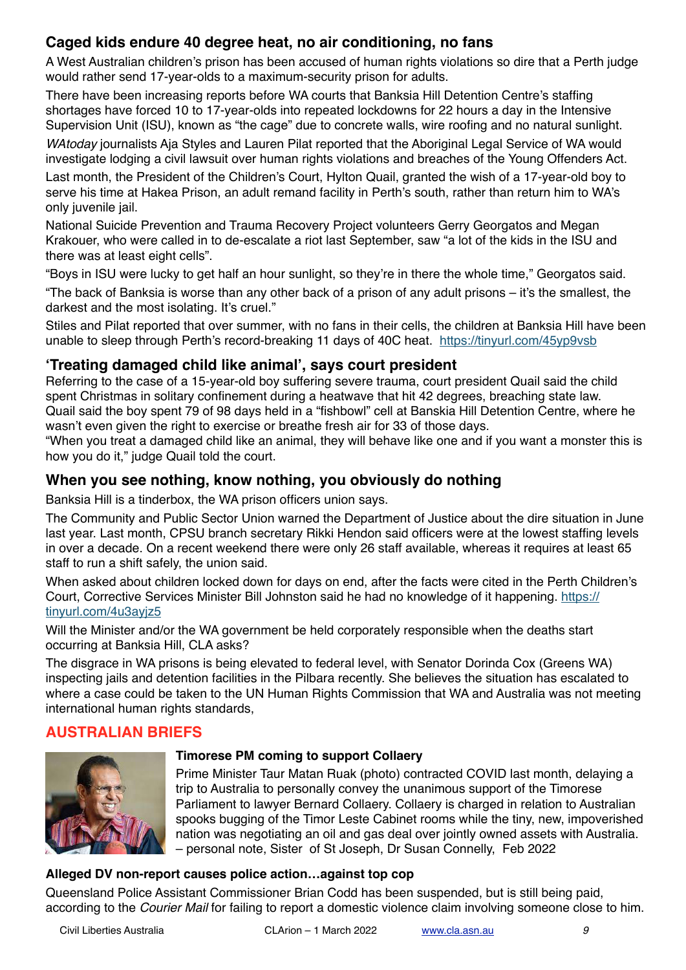# **Caged kids endure 40 degree heat, no air conditioning, no fans**

A West Australian children's prison has been accused of human rights violations so dire that a Perth judge would rather send 17-year-olds to a maximum-security prison for adults.

There have been increasing reports before WA courts that Banksia Hill Detention Centre's staffing shortages have forced 10 to 17-year-olds into repeated lockdowns for 22 hours a day in the Intensive Supervision Unit (ISU), known as "the cage" due to concrete walls, wire roofing and no natural sunlight.

*WAtoday* journalists Aja Styles and Lauren Pilat reported that the Aboriginal Legal Service of WA would investigate lodging a civil lawsuit over human rights violations and breaches of the Young Offenders Act.

Last month, the President of the Children's Court, Hylton Quail, granted the wish of a 17-year-old boy to serve his time at Hakea Prison, an adult remand facility in Perth's south, rather than return him to WA's only juvenile jail.

National Suicide Prevention and Trauma Recovery Project volunteers Gerry Georgatos and Megan Krakouer, who were called in to de-escalate a riot last September, saw "a lot of the kids in the ISU and there was at least eight cells".

"Boys in ISU were lucky to get half an hour sunlight, so they're in there the whole time," Georgatos said.

"The back of Banksia is worse than any other back of a prison of any adult prisons – it's the smallest, the darkest and the most isolating. It's cruel."

Stiles and Pilat reported that over summer, with no fans in their cells, the children at Banksia Hill have been unable to sleep through Perth's record-breaking 11 days of 40C heat. <https://tinyurl.com/45yp9vsb>

## **'Treating damaged child like animal', says court president**

Referring to the case of a 15-year-old boy suffering severe trauma, court president Quail said the child spent Christmas in solitary confinement during a heatwave that hit 42 degrees, breaching state law. Quail said the boy spent 79 of 98 days held in a "fishbowl" cell at Banskia Hill Detention Centre, where he wasn't even given the right to exercise or breathe fresh air for 33 of those days.

"When you treat a damaged child like an animal, they will behave like one and if you want a monster this is how you do it," judge Quail told the court.

## **When you see nothing, know nothing, you obviously do nothing**

Banksia Hill is a tinderbox, the WA prison officers union says.

The Community and Public Sector Union warned the Department of Justice about the dire situation in June last year. Last month, CPSU branch secretary Rikki Hendon said officers were at the lowest staffing levels in over a decade. On a recent weekend there were only 26 staff available, whereas it requires at least 65 staff to run a shift safely, the union said.

When asked about children locked down for days on end, after the facts were cited in the Perth Children's Court, Corrective Services Minister Bill Johnston said he had no knowledge of it happening. [https://](https://tinyurl.com/4u3ayjz5) [tinyurl.com/4u3ayjz5](https://tinyurl.com/4u3ayjz5)

Will the Minister and/or the WA government be held corporately responsible when the deaths start occurring at Banksia Hill, CLA asks?

The disgrace in WA prisons is being elevated to federal level, with Senator Dorinda Cox (Greens WA) inspecting jails and detention facilities in the Pilbara recently. She believes the situation has escalated to where a case could be taken to the UN Human Rights Commission that WA and Australia was not meeting international human rights standards,

# **AUSTRALIAN BRIEFS**



#### **Timorese PM coming to support Collaery**

Prime Minister Taur Matan Ruak (photo) contracted COVID last month, delaying a trip to Australia to personally convey the unanimous support of the Timorese Parliament to lawyer Bernard Collaery. Collaery is charged in relation to Australian spooks bugging of the Timor Leste Cabinet rooms while the tiny, new, impoverished nation was negotiating an oil and gas deal over jointly owned assets with Australia. – personal note, Sister of St Joseph, Dr Susan Connelly, Feb 2022

#### **Alleged DV non-report causes police action…against top cop**

Queensland Police Assistant Commissioner Brian Codd has been suspended, but is still being paid, according to the *Courier Mail* for failing to report a domestic violence claim involving someone close to him.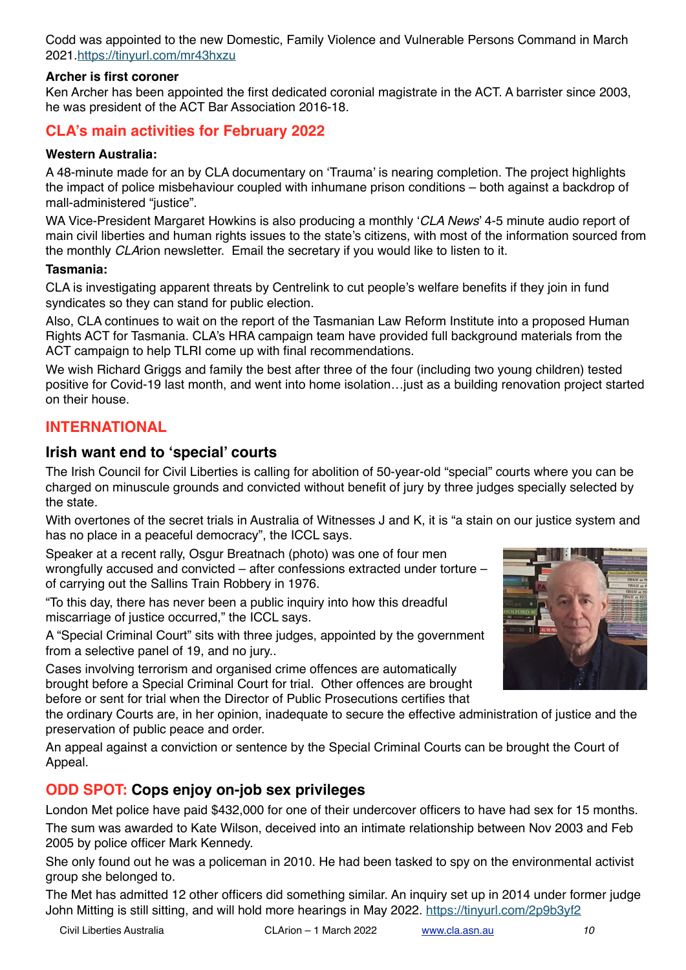Codd was appointed to the new Domestic, Family Violence and Vulnerable Persons Command in March 2021[.https://tinyurl.com/mr43hxzu](https://tinyurl.com/mr43hxzu)

#### **Archer is first coroner**

Ken Archer has been appointed the first dedicated coronial magistrate in the ACT. A barrister since 2003, he was president of the ACT Bar Association 2016-18.

## **CLA's main activities for February 2022**

#### **Western Australia:**

A 48-minute made for an by CLA documentary on 'Trauma' is nearing completion. The project highlights the impact of police misbehaviour coupled with inhumane prison conditions – both against a backdrop of mall-administered "justice".

WA Vice-President Margaret Howkins is also producing a monthly '*CLA News*' 4-5 minute audio report of main civil liberties and human rights issues to the state's citizens, with most of the information sourced from the monthly *CLA*rion newsletter. Email the secretary if you would like to listen to it.

#### **Tasmania:**

CLA is investigating apparent threats by Centrelink to cut people's welfare benefits if they join in fund syndicates so they can stand for public election.

Also, CLA continues to wait on the report of the Tasmanian Law Reform Institute into a proposed Human Rights ACT for Tasmania. CLA's HRA campaign team have provided full background materials from the ACT campaign to help TLRI come up with final recommendations.

We wish Richard Griggs and family the best after three of the four (including two young children) tested positive for Covid-19 last month, and went into home isolation…just as a building renovation project started on their house.

### **INTERNATIONAL**

#### **Irish want end to 'special' courts**

The Irish Council for Civil Liberties is calling for abolition of 50-year-old "special" courts where you can be charged on minuscule grounds and convicted without benefit of jury by three judges specially selected by the state.

With overtones of the secret trials in Australia of Witnesses J and K, it is "a stain on our justice system and has no place in a peaceful democracy", the ICCL says.

Speaker at a recent rally, Osgur Breatnach (photo) was one of four men wrongfully accused and convicted – after confessions extracted under torture – of carrying out the Sallins Train Robbery in 1976.

"To this day, there has never been a public inquiry into how this dreadful miscarriage of justice occurred," the ICCL says.

A "Special Criminal Court" sits with three judges, appointed by the government from a selective panel of 19, and no jury..

Cases involving terrorism and organised crime offences are automatically brought before a Special Criminal Court for trial. Other offences are brought before or sent for trial when the Director of Public Prosecutions certifies that

the ordinary Courts are, in her opinion, inadequate to secure the effective administration of justice and the preservation of public peace and order.

An appeal against a conviction or sentence by the Special Criminal Courts can be brought the Court of Appeal.

## **ODD SPOT: Cops enjoy on-job sex privileges**

London Met police have paid \$432,000 for one of their undercover officers to have had sex for 15 months. The sum was awarded to Kate Wilson, deceived into an intimate relationship between Nov 2003 and Feb 2005 by police officer Mark Kennedy.

She only found out he was a policeman in 2010. He had been tasked to spy on the environmental activist group she belonged to.

The Met has admitted 12 other officers did something similar. An inquiry set up in 2014 under former judge John Mitting is still sitting, and will hold more hearings in May 2022. <https://tinyurl.com/2p9b3yf2>



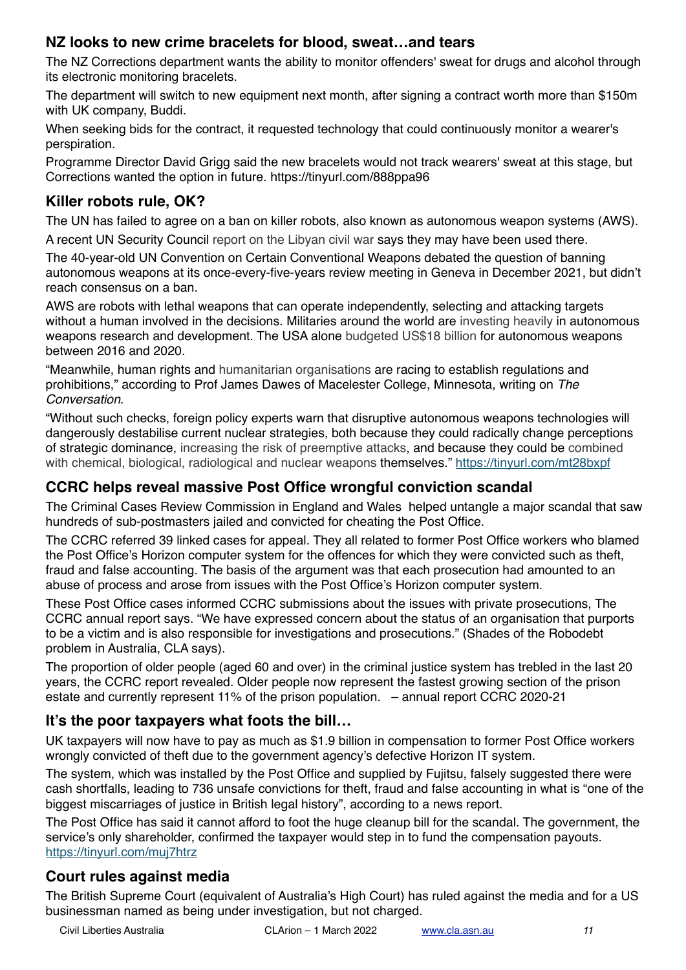## **NZ looks to new crime bracelets for blood, sweat…and tears**

The NZ Corrections department wants the ability to monitor offenders' sweat for drugs and alcohol through its electronic monitoring bracelets.

The department will switch to new equipment next month, after signing a contract worth more than \$150m with UK company, Buddi.

When seeking bids for the contract, it requested technology that could continuously monitor a wearer's perspiration.

Programme Director David Grigg said the new bracelets would not track wearers' sweat at this stage, but Corrections wanted the option in future. https://tinyurl.com/888ppa96

# **Killer robots rule, OK?**

The UN has failed to agree on a ban on killer robots, also known as autonomous weapon systems (AWS). A recent UN Security Council report on the Libyan civil war says they may have been used there.

The 40-year-old UN Convention on Certain Conventional Weapons debated the question of banning autonomous weapons at its once-every-five-years review meeting in Geneva in December 2021, but didn't reach consensus on a ban.

AWS are robots with lethal weapons that can operate independently, selecting and attacking targets without a human involved in the decisions. Militaries around the world are investing heavily in autonomous weapons research and development. The USA alone budgeted US\$18 billion for autonomous weapons between 2016 and 2020.

"Meanwhile, human rights and humanitarian organisations are racing to establish regulations and prohibitions," according to Prof James Dawes of Macelester College, Minnesota, writing on *The Conversation*.

"Without such checks, foreign policy experts warn that disruptive autonomous weapons technologies will dangerously destabilise current nuclear strategies, both because they could radically change perceptions of strategic dominance, increasing the risk of preemptive attacks, and because they could be combined with chemical, biological, radiological and nuclear weapons themselves." <https://tinyurl.com/mt28bxpf>

## **CCRC helps reveal massive Post Office wrongful conviction scandal**

The Criminal Cases Review Commission in England and Wales helped untangle a major scandal that saw hundreds of sub-postmasters jailed and convicted for cheating the Post Office.

The CCRC referred 39 linked cases for appeal. They all related to former Post Office workers who blamed the Post Office's Horizon computer system for the offences for which they were convicted such as theft, fraud and false accounting. The basis of the argument was that each prosecution had amounted to an abuse of process and arose from issues with the Post Office's Horizon computer system.

These Post Office cases informed CCRC submissions about the issues with private prosecutions, The CCRC annual report says. "We have expressed concern about the status of an organisation that purports to be a victim and is also responsible for investigations and prosecutions." (Shades of the Robodebt problem in Australia, CLA says).

The proportion of older people (aged 60 and over) in the criminal justice system has trebled in the last 20 years, the CCRC report revealed. Older people now represent the fastest growing section of the prison estate and currently represent 11% of the prison population. – annual report CCRC 2020-21

## **It's the poor taxpayers what foots the bill…**

UK taxpayers will now have to pay as much as \$1.9 billion in compensation to former Post Office workers wrongly convicted of theft due to the government agency's defective Horizon IT system.

The system, which was installed by the Post Office and supplied by Fujitsu, falsely suggested there were cash shortfalls, leading to 736 unsafe convictions for theft, fraud and false accounting in what is "one of the biggest miscarriages of justice in British legal history", according to a news report.

The Post Office has said it cannot afford to foot the huge cleanup bill for the scandal. The government, the service's only shareholder, confirmed the taxpayer would step in to fund the compensation payouts. <https://tinyurl.com/muj7htrz>

## **Court rules against media**

The British Supreme Court (equivalent of Australia's High Court) has ruled against the media and for a US businessman named as being under investigation, but not charged.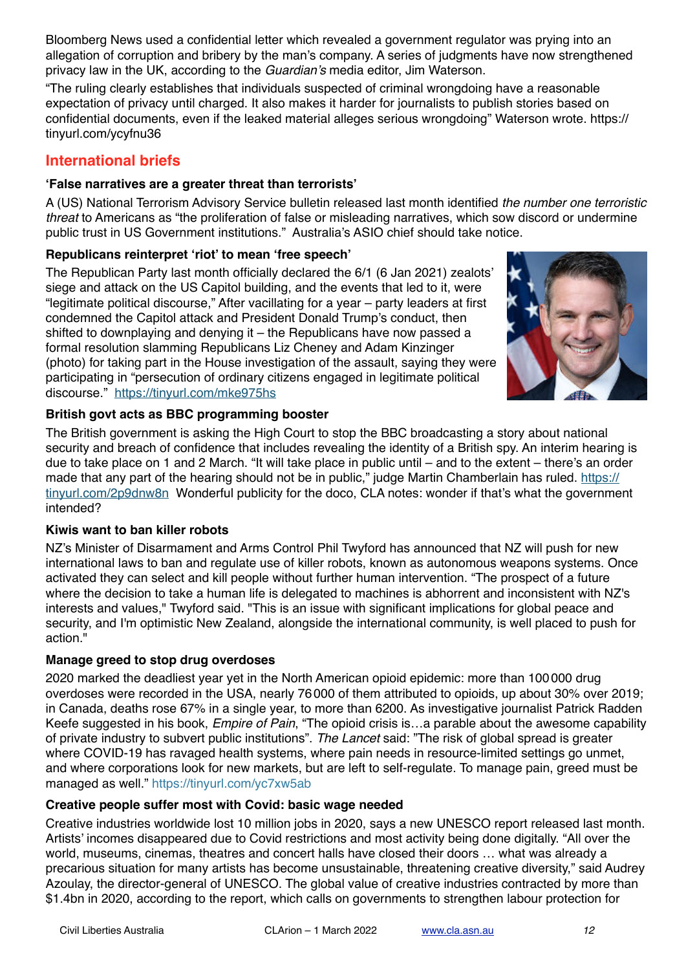Bloomberg News used a confidential letter which revealed a government regulator was prying into an allegation of corruption and bribery by the man's company. A series of judgments have now strengthened privacy law in the UK, according to the *Guardian's* media editor, Jim Waterson.

"The ruling clearly establishes that individuals suspected of criminal wrongdoing have a reasonable expectation of privacy until charged. It also makes it harder for journalists to publish stories based on confidential documents, even if the leaked material alleges serious wrongdoing" Waterson wrote. [https://](https://tinyurl.com/ycyfnu36) [tinyurl.com/ycyfnu36](https://tinyurl.com/ycyfnu36)

### **International briefs**

#### **'False narratives are a greater threat than terrorists'**

A (US) National Terrorism Advisory Service bulletin released last month identified *the number one terroristic threat* to Americans as "the proliferation of false or misleading narratives, which sow discord or undermine public trust in US Government institutions." Australia's ASIO chief should take notice.

#### **Republicans reinterpret 'riot' to mean 'free speech'**

The Republican Party last month officially declared the 6/1 (6 Jan 2021) zealots' siege and attack on the US Capitol building, and the events that led to it, were "legitimate political discourse," After vacillating for a year – party leaders at first condemned the Capitol attack and President Donald Trump's conduct, then shifted to downplaying and denying it – the Republicans have now passed a formal resolution slamming Republicans Liz Cheney and Adam Kinzinger (photo) for taking part in the House investigation of the assault, saying they were participating in "persecution of ordinary citizens engaged in legitimate political discourse." <https://tinyurl.com/mke975hs>



#### **British govt acts as BBC programming booster**

The British government is asking the High Court to stop the BBC broadcasting a story about national security and breach of confidence that includes revealing the identity of a British spy. An interim hearing is due to take place on 1 and 2 March. "It will take place in public until – and to the extent – there's an order made that any part of the hearing should not be in public," judge Martin Chamberlain has ruled. [https://](https://tinyurl.com/2p9dnw8n) [tinyurl.com/2p9dnw8n](https://tinyurl.com/2p9dnw8n) Wonderful publicity for the doco, CLA notes: wonder if that's what the government intended?

#### **Kiwis want to ban killer robots**

NZ's Minister of Disarmament and Arms Control Phil Twyford has announced that NZ will push for new international laws to ban and regulate use of killer robots, known as autonomous weapons systems. Once activated they can select and kill people without further human intervention. "The prospect of a future where the decision to take a human life is delegated to machines is abhorrent and inconsistent with NZ's interests and values," Twyford said. "This is an issue with significant implications for global peace and security, and I'm optimistic New Zealand, alongside the international community, is well placed to push for action."

#### **Manage greed to stop drug overdoses**

2020 marked the deadliest year yet in the North American opioid epidemic: more than 100 000 drug overdoses were recorded in the USA, nearly 76 000 of them attributed to opioids, up about 30% over 2019; in Canada, deaths rose 67% in a single year, to more than 6200. As investigative journalist Patrick Radden Keefe suggested in his book, *Empire of Pain*, "The opioid crisis is…a parable about the awesome capability of private industry to subvert public institutions". *The Lancet* said: "The risk of global spread is greater where COVID-19 has ravaged health systems, where pain needs in resource-limited settings go unmet, and where corporations look for new markets, but are left to self-regulate. To manage pain, greed must be managed as well."<https://tinyurl.com/yc7xw5ab>

#### **Creative people suffer most with Covid: basic wage needed**

Creative industries worldwide lost 10 million jobs in 2020, says a new UNESCO report released last month. Artists' incomes disappeared due to Covid restrictions and most activity being done digitally. "All over the world, museums, cinemas, theatres and concert halls have closed their doors … what was already a precarious situation for many artists has become unsustainable, threatening creative diversity," said Audrey Azoulay, the director-general of UNESCO. The global value of creative industries contracted by more than \$1.4bn in 2020, according to the report, which calls on governments to strengthen labour protection for